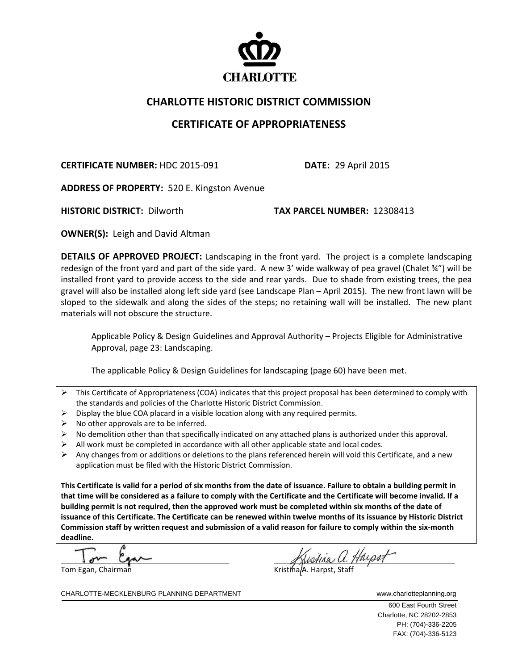

## **CHARLOTTE HISTORIC DISTRICT COMMISSION**

## **CERTIFICATE OF APPROPRIATENESS**

**CERTIFICATE NUMBER:** HDC 2015‐091 **DATE:** 29 April 2015

**ADDRESS OF PROPERTY:** 520 E. Kingston Avenue

**HISTORIC DISTRICT:** Dilworth **TAX PARCEL NUMBER:** 12308413

**OWNER(S):** Leigh and David Altman

**DETAILS OF APPROVED PROJECT:** Landscaping in the front yard. The project is a complete landscaping redesign of the front yard and part of the side yard. A new 3' wide walkway of pea gravel (Chalet ¾") will be installed front yard to provide access to the side and rear yards. Due to shade from existing trees, the pea gravel will also be installed along left side yard (see Landscape Plan – April 2015). The new front lawn will be sloped to the sidewalk and along the sides of the steps; no retaining wall will be installed. The new plant materials will not obscure the structure.

Applicable Policy & Design Guidelines and Approval Authority – Projects Eligible for Administrative Approval, page 23: Landscaping.

The applicable Policy & Design Guidelines for landscaping (page 60) have been met.

- $\triangleright$  This Certificate of Appropriateness (COA) indicates that this project proposal has been determined to comply with the standards and policies of the Charlotte Historic District Commission.
- $\triangleright$  Display the blue COA placard in a visible location along with any required permits.
- $\triangleright$  No other approvals are to be inferred.
- $\triangleright$  No demolition other than that specifically indicated on any attached plans is authorized under this approval.
- $\triangleright$  All work must be completed in accordance with all other applicable state and local codes.
- $\triangleright$  Any changes from or additions or deletions to the plans referenced herein will void this Certificate, and a new application must be filed with the Historic District Commission.

This Certificate is valid for a period of six months from the date of issuance. Failure to obtain a building permit in that time will be considered as a failure to comply with the Certificate and the Certificate will become invalid. If a building permit is not required, then the approved work must be completed within six months of the date of issuance of this Certificate. The Certificate can be renewed within twelve months of its issuance by Historic District Commission staff by written request and submission of a valid reason for failure to comply within the six-month **deadline.**

 $\overline{\phantom{a}}$ Tom Egan, Chairman

 $\mathscr{L}_\mathscr{A}$   $\mathscr{L}_\mathscr{A}$   $\mathscr{L}_\mathscr{A}$   $\mathscr{L}_\mathscr{A}$   $\mathscr{L}_\mathscr{A}$   $\mathscr{L}_\mathscr{A}$   $\mathscr{L}_\mathscr{A}$   $\mathscr{L}_\mathscr{A}$   $\mathscr{L}_\mathscr{A}$   $\mathscr{L}_\mathscr{A}$   $\mathscr{L}_\mathscr{A}$   $\mathscr{L}_\mathscr{A}$   $\mathscr{L}_\mathscr{A}$   $\mathscr{L}_\mathscr{A}$   $\mathscr{L}_\mathscr{$ 

CHARLOTTE-MECKLENBURG PLANNING DEPARTMENT WWW.charlotteplanning.org

 600 East Fourth Street Charlotte, NC 28202-2853 PH: (704)-336-2205 FAX: (704)-336-5123